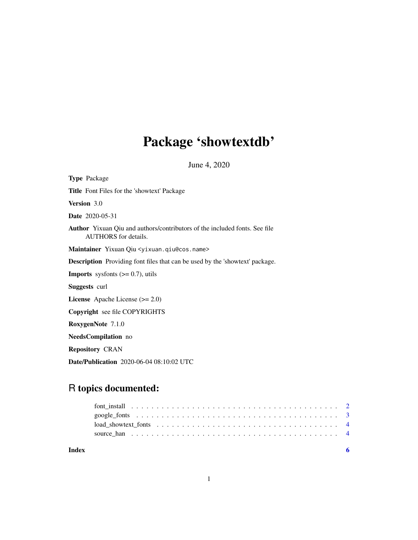## Package 'showtextdb'

June 4, 2020

Type Package Title Font Files for the 'showtext' Package Version 3.0 Date 2020-05-31 Author Yixuan Qiu and authors/contributors of the included fonts. See file AUTHORS for details. Maintainer Yixuan Qiu <yixuan.qiu@cos.name> Description Providing font files that can be used by the 'showtext' package. **Imports** sysfonts  $(>= 0.7)$ , utils Suggests curl License Apache License (>= 2.0) Copyright see file COPYRIGHTS RoxygenNote 7.1.0 NeedsCompilation no Repository CRAN Date/Publication 2020-06-04 08:10:02 UTC

### R topics documented:

| Index |  |
|-------|--|
|       |  |
|       |  |
|       |  |
|       |  |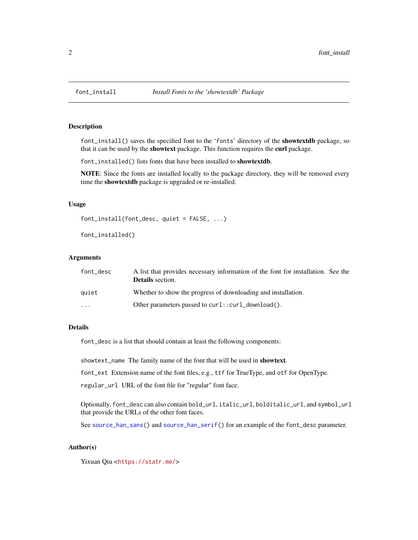<span id="page-1-1"></span><span id="page-1-0"></span>

#### Description

font\_install() saves the specified font to the 'fonts' directory of the **showtextdb** package, so that it can be used by the showtext package. This function requires the curl package.

font\_installed() lists fonts that have been installed to showtextdb.

NOTE: Since the fonts are installed locally to the package directory, they will be removed every time the showtextdb package is upgraded or re-installed.

#### Usage

```
font_install(font_desc, quiet = FALSE, ...)
```

```
font_installed()
```
#### Arguments

| font desc               | A list that provides necessary information of the font for installation. See the<br><b>Details</b> section. |
|-------------------------|-------------------------------------------------------------------------------------------------------------|
| auiet                   | Whether to show the progress of downloading and installation.                                               |
| $\cdot$ $\cdot$ $\cdot$ | Other parameters passed to $curl$ : $curl\_download()$ .                                                    |

#### Details

font\_desc is a list that should contain at least the following components:

showtext\_name The family name of the font that will be used in showtext.

font\_ext Extension name of the font files, e.g., ttf for TrueType, and otf for OpenType.

regular\_url URL of the font file for "regular" font face.

Optionally, font\_desc can also contain bold\_url, italic\_url, bolditalic\_url, and symbol\_url that provide the URLs of the other font faces.

See [source\\_han\\_sans\(](#page-3-1)) and [source\\_han\\_serif\(](#page-3-1)) for an example of the font\_desc parameter.

#### Author(s)

Yixuan Qiu <<https://statr.me/>>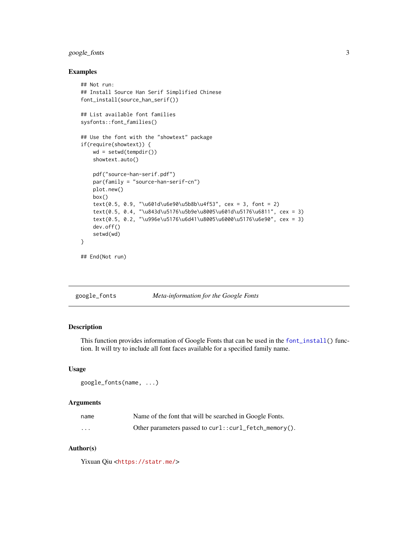#### <span id="page-2-0"></span>google\_fonts 3

#### Examples

```
## Not run:
## Install Source Han Serif Simplified Chinese
font_install(source_han_serif())
## List available font families
sysfonts::font_families()
## Use the font with the "showtext" package
if(require(showtext)) {
   wd = setwd(tempdir())
   showtext.auto()
   pdf("source-han-serif.pdf")
   par(family = "source-han-serif-cn")
   plot.new()
   box()
   text(0.5, 0.9, "\u601d\u6e90\u5b8b\u4f53", cex = 3, font = 2)
    text(0.5, 0.4, "\u843d\u5176\u5b9e\u8005\u601d\u5176\u6811", cex = 3)
    text(0.5, 0.2, "\u996e\u5176\u6d41\u8005\u6000\u5176\u6e90", cex = 3)
   dev.off()
   setwd(wd)
}
## End(Not run)
```

| google_fonts | Meta-information for the Google Fonts |  |  |
|--------------|---------------------------------------|--|--|
|              |                                       |  |  |

#### Description

This function provides information of Google Fonts that can be used in the [font\\_install\(](#page-1-1)) function. It will try to include all font faces available for a specified family name.

#### Usage

```
google_fonts(name, ...)
```
#### Arguments

| name     | Name of the font that will be searched in Google Fonts. |
|----------|---------------------------------------------------------|
| $\cdots$ | Other parameters passed to curl::curl_fetch_memory().   |

#### Author(s)

Yixuan Qiu <<https://statr.me/>>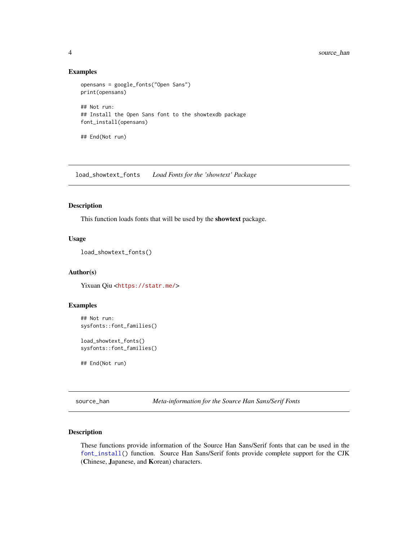#### Examples

```
opensans = google_fonts("Open Sans")
print(opensans)
## Not run:
## Install the Open Sans font to the showtexdb package
font_install(opensans)
```
## End(Not run)

load\_showtext\_fonts *Load Fonts for the 'showtext' Package*

#### Description

This function loads fonts that will be used by the showtext package.

#### Usage

```
load_showtext_fonts()
```
#### Author(s)

Yixuan Qiu <<https://statr.me/>>

#### Examples

```
## Not run:
sysfonts::font_families()
```
load\_showtext\_fonts() sysfonts::font\_families()

## End(Not run)

source\_han *Meta-information for the Source Han Sans/Serif Fonts*

#### <span id="page-3-1"></span>Description

These functions provide information of the Source Han Sans/Serif fonts that can be used in the [font\\_install\(](#page-1-1)) function. Source Han Sans/Serif fonts provide complete support for the CJK (Chinese, Japanese, and Korean) characters.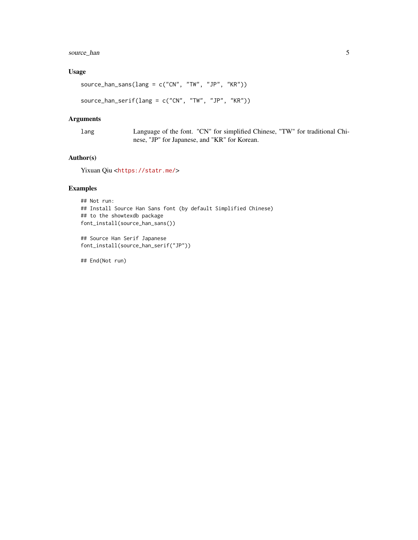#### source\_han 5

#### Usage

```
source_han_sans(lang = c("CN", "TW", "JP", "KR"))
```

```
source_han_serif(lang = c("CN", "TW", "JP", "KR"))
```
#### Arguments

lang Language of the font. "CN" for simplified Chinese, "TW" for traditional Chinese, "JP" for Japanese, and "KR" for Korean.

#### Author(s)

Yixuan Qiu <<https://statr.me/>>

#### Examples

```
## Not run:
## Install Source Han Sans font (by default Simplified Chinese)
## to the showtexdb package
font_install(source_han_sans())
```
## Source Han Serif Japanese font\_install(source\_han\_serif("JP"))

## End(Not run)